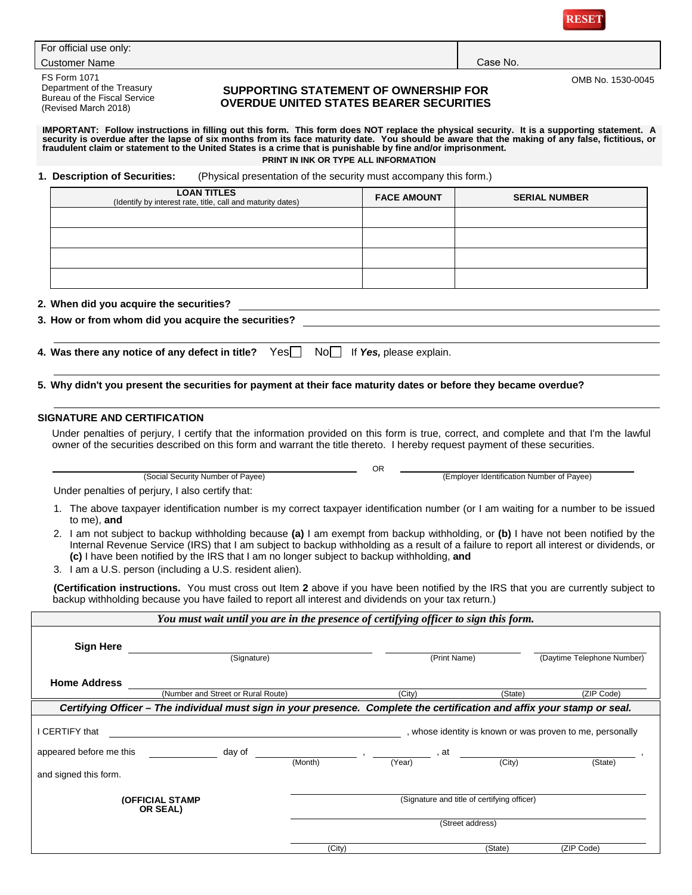

| For official use only: |  |
|------------------------|--|
|------------------------|--|

**Customer Name Case No. 2018 19:00 Case No. 2018 19:00 Case No. 2018 19:00 Case No. 2018 19:00 Case No. 2018 19:00 Case No. 2018 19:00 Case No. 2018 19:00 Case No. 2018 19:00 Case No. 2018 19:00 Case No. 2018 19:00 Case No** 

FS Form 1071 Department of the Treasury Bureau of the Fiscal Service (Revised March 2018)

### **SUPPORTING STATEMENT OF OWNERSHIP FOR OVERDUE UNITED STATES BEARER SECURITIES**

OMB No. 1530-0045

# IMPORTANT: Follow instructions in filling out this form. This form does NOT replace the physical security. It is a supporting statement. A<br>security is overdue after the lapse of six months from its face maturity date. You **fraudulent claim or statement to the United States is a crime that is punishable by fine and/or imprisonment. PRINT IN INK OR TYPE ALL INFORMATION**

**1. Description of Securities:** (Physical presentation of the security must accompany this form.)

| <b>LOAN TITLES</b><br>(Identify by interest rate, title, call and maturity dates)                                                                                                                                                                                                                                                                                          | <b>FACE AMOUNT</b> | <b>SERIAL NUMBER</b>                      |
|----------------------------------------------------------------------------------------------------------------------------------------------------------------------------------------------------------------------------------------------------------------------------------------------------------------------------------------------------------------------------|--------------------|-------------------------------------------|
|                                                                                                                                                                                                                                                                                                                                                                            |                    |                                           |
|                                                                                                                                                                                                                                                                                                                                                                            |                    |                                           |
|                                                                                                                                                                                                                                                                                                                                                                            |                    |                                           |
|                                                                                                                                                                                                                                                                                                                                                                            |                    |                                           |
| 2. When did you acquire the securities?                                                                                                                                                                                                                                                                                                                                    |                    |                                           |
| 3. How or from whom did you acquire the securities?                                                                                                                                                                                                                                                                                                                        |                    |                                           |
| 5. Why didn't you present the securities for payment at their face maturity dates or before they became overdue?                                                                                                                                                                                                                                                           |                    |                                           |
| <b>SIGNATURE AND CERTIFICATION</b>                                                                                                                                                                                                                                                                                                                                         |                    |                                           |
| Under penalties of perjury, I certify that the information provided on this form is true, correct, and complete and that I'm the lawful<br>owner of the securities described on this form and warrant the title thereto. I hereby request payment of these securities.                                                                                                     |                    |                                           |
| (Social Security Number of Payee)                                                                                                                                                                                                                                                                                                                                          | <b>OR</b>          | (Employer Identification Number of Payee) |
| Under penalties of perjury, I also certify that:                                                                                                                                                                                                                                                                                                                           |                    |                                           |
| 1. The above taxpayer identification number is my correct taxpayer identification number (or I am waiting for a number to be issued<br>to me), and                                                                                                                                                                                                                         |                    |                                           |
| 2. I am not subject to backup withholding because (a) I am exempt from backup withholding, or (b) I have not been notified by the<br>Internal Revenue Service (IRS) that I am subject to backup withholding as a result of a failure to report all interest or dividends, or<br>(c) I have been notified by the IRS that I am no longer subject to backup withholding, and |                    |                                           |

3. I am a U.S. person (including a U.S. resident alien).

**(Certification instructions.** You must cross out Item **2** above if you have been notified by the IRS that you are currently subject to backup withholding because you have failed to report all interest and dividends on your tax return.)

| You must wait until you are in the presence of certifying officer to sign this form. |  |  |  |
|--------------------------------------------------------------------------------------|--|--|--|
|                                                                                      |  |  |  |

| <b>Sign Here</b>                                                   | (Signature)                                                                                                              |         | (Print Name) |                                                                 | (Daytime Telephone Number)                                           |
|--------------------------------------------------------------------|--------------------------------------------------------------------------------------------------------------------------|---------|--------------|-----------------------------------------------------------------|----------------------------------------------------------------------|
| <b>Home Address</b>                                                | (Number and Street or Rural Route)                                                                                       |         | (City)       | (State)                                                         | (ZIP Code)                                                           |
|                                                                    | Certifying Officer – The individual must sign in your presence. Complete the certification and affix your stamp or seal. |         |              |                                                                 |                                                                      |
| I CERTIFY that<br>appeared before me this<br>and signed this form. | day of                                                                                                                   | (Month) | at<br>(Year) | (City)                                                          | , whose identity is known or was proven to me, personally<br>(State) |
|                                                                    | <b>(OFFICIAL STAMP</b><br>OR SEAL)                                                                                       |         |              | (Signature and title of certifying officer)<br>(Street address) |                                                                      |
|                                                                    |                                                                                                                          | (City)  |              | (State)                                                         | (ZIP Code)                                                           |